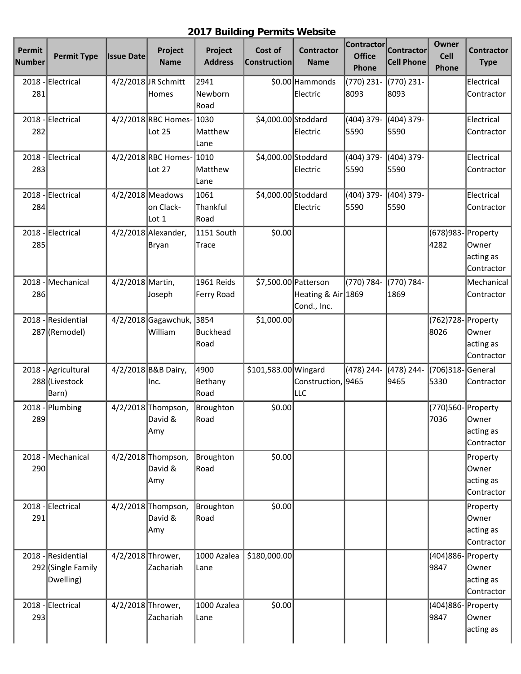## **2017 Building Permits Website**

| Permit<br>Number | <b>Permit Type</b> | <b>Issue Date</b> | Project<br><b>Name</b>   | Project<br><b>Address</b> | Cost of<br><b>Construction</b> | <b>Contractor</b><br><b>Name</b> | <b>Contractor</b><br><b>Office</b> | <b>Contractor</b><br><b>Cell Phone</b> | Owner<br><b>Cell</b> | <b>Contractor</b><br><b>Type</b> |
|------------------|--------------------|-------------------|--------------------------|---------------------------|--------------------------------|----------------------------------|------------------------------------|----------------------------------------|----------------------|----------------------------------|
|                  |                    |                   |                          |                           |                                |                                  | Phone                              |                                        | Phone                |                                  |
|                  | 2018 - Electrical  |                   | 4/2/2018 JR Schmitt      | 2941                      |                                | \$0.00 Hammonds                  | (770) 231-                         | (770) 231-                             |                      | Electrical                       |
| 281              |                    |                   | Homes                    | Newborn<br>Road           |                                | Electric                         | 8093                               | 8093                                   |                      | Contractor                       |
| 2018             | Electrical         |                   | 4/2/2018 RBC Homes- 1030 |                           | \$4,000.00 Stoddard            |                                  | (404) 379-                         | (404) 379-                             |                      | Electrical                       |
| 282              |                    |                   | Lot 25                   | Matthew<br>Lane           |                                | Electric                         | 5590                               | 5590                                   |                      | Contractor                       |
|                  | 2018 - Electrical  |                   | 4/2/2018 RBC Homes-      | 1010                      | \$4,000.00 Stoddard            |                                  | (404) 379-                         | (404) 379-                             |                      | Electrical                       |
| 283              |                    |                   | Lot 27                   | Matthew<br>Lane           |                                | Electric                         | 5590                               | 5590                                   |                      | Contractor                       |
| 2018             | -Electrical        |                   | $4/2/2018$ Meadows       | 1061                      | \$4,000.00 Stoddard            |                                  | (404) 379-                         | (404) 379-                             |                      | Electrical                       |
| 284              |                    |                   | on Clack-<br>Lot 1       | Thankful<br>Road          |                                | Electric                         | 5590                               | 5590                                   |                      | Contractor                       |
| 2018             | -Electrical        |                   | 4/2/2018 Alexander,      | 1151 South                | \$0.00                         |                                  |                                    |                                        | (678)983- Property   |                                  |
| 285              |                    |                   | Bryan                    | Trace                     |                                |                                  |                                    |                                        | 4282                 | Owner                            |
|                  |                    |                   |                          |                           |                                |                                  |                                    |                                        |                      | acting as<br>Contractor          |
| 2018             | Mechanical         | 4/2/2018 Martin,  |                          | 1961 Reids                | \$7,500.00 Patterson           |                                  | (770) 784-                         | (770) 784-                             |                      | Mechanical                       |
| 286              |                    |                   | Joseph                   | Ferry Road                |                                | Heating & Air 1869               |                                    | 1869                                   |                      | Contractor                       |
|                  |                    |                   |                          |                           |                                | Cond., Inc.                      |                                    |                                        |                      |                                  |
| 2018             | -Residential       |                   | $4/2/2018$ Gagawchuk,    | 3854                      | \$1,000.00                     |                                  |                                    |                                        | (762)728- Property   |                                  |
|                  | 287 (Remodel)      |                   | William                  | Buckhead                  |                                |                                  |                                    |                                        | 8026                 | Owner                            |
|                  |                    |                   |                          | Road                      |                                |                                  |                                    |                                        |                      | acting as                        |
|                  |                    |                   |                          |                           |                                |                                  |                                    |                                        |                      | Contractor                       |
| 2018             | - Agricultural     |                   | 4/2/2018 B&B Dairy,      | 4900                      | \$101,583.00 Wingard           |                                  | (478) 244-                         | (478) 244-                             | (706)318-General     |                                  |
|                  | 288 (Livestock     |                   | lnc.                     | Bethany                   |                                | Construction, 9465               |                                    | 9465                                   | 5330                 | Contractor                       |
|                  | Barn)              |                   |                          | Road                      |                                | lllc                             |                                    |                                        |                      |                                  |
| 2018             | -Plumbing          |                   | 4/2/2018 Thompson,       | Broughton                 | \$0.00                         |                                  |                                    |                                        | (770)560- Property   |                                  |
| 289              |                    |                   | David &                  | Road                      |                                |                                  |                                    |                                        | 7036                 | Owner                            |
|                  |                    |                   | Amy                      |                           |                                |                                  |                                    |                                        |                      | acting as                        |
|                  |                    |                   |                          |                           |                                |                                  |                                    |                                        |                      | Contractor                       |
| 2018             | -Mechanical        |                   | 4/2/2018 Thompson,       | Broughton                 | \$0.00                         |                                  |                                    |                                        |                      | Property                         |
| 290              |                    |                   | David &                  | Road                      |                                |                                  |                                    |                                        |                      | Owner                            |
|                  |                    |                   | Amy                      |                           |                                |                                  |                                    |                                        |                      | acting as                        |
|                  |                    |                   |                          |                           |                                |                                  |                                    |                                        |                      | Contractor                       |
|                  | 2018 - Electrical  |                   | 4/2/2018 Thompson,       | Broughton                 | \$0.00                         |                                  |                                    |                                        |                      | Property                         |
| 291              |                    |                   | David &                  | Road                      |                                |                                  |                                    |                                        |                      | Owner                            |
|                  |                    |                   | Amy                      |                           |                                |                                  |                                    |                                        |                      | acting as                        |
|                  |                    |                   |                          |                           |                                |                                  |                                    |                                        |                      | Contractor                       |
|                  | 2018 - Residential | 4/2/2018 Thrower, |                          | 1000 Azalea               | \$180,000.00                   |                                  |                                    |                                        | (404)886- Property   |                                  |
|                  | 292 (Single Family |                   | Zachariah                | Lane                      |                                |                                  |                                    |                                        | 9847                 | Owner                            |
|                  | Dwelling)          |                   |                          |                           |                                |                                  |                                    |                                        |                      | acting as                        |
|                  |                    |                   |                          |                           |                                |                                  |                                    |                                        |                      | Contractor                       |
|                  | 2018 - Electrical  | 4/2/2018 Thrower, |                          | 1000 Azalea               | \$0.00                         |                                  |                                    |                                        | (404)886- Property   |                                  |
| 293              |                    |                   | Zachariah                | Lane                      |                                |                                  |                                    |                                        | 9847                 | Owner                            |
|                  |                    |                   |                          |                           |                                |                                  |                                    |                                        |                      | acting as                        |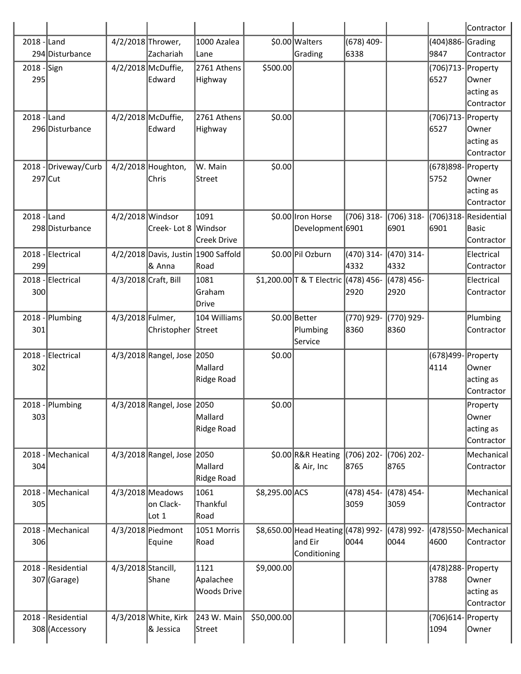|                    |                                      |                      |                                               |                                         |                |                                                               |                      |                    |                              | Contractor                                    |
|--------------------|--------------------------------------|----------------------|-----------------------------------------------|-----------------------------------------|----------------|---------------------------------------------------------------|----------------------|--------------------|------------------------------|-----------------------------------------------|
| $2018$ -Land       | 294 Disturbance                      | 4/2/2018 Thrower,    | Zachariah                                     | 1000 Azalea<br>Lane                     |                | \$0.00 Walters<br>Grading                                     | $(678)$ 409-<br>6338 |                    | (404)886-Grading<br>9847     | Contractor                                    |
| 2018 - Sign<br>295 |                                      |                      | 4/2/2018 McDuffie,<br><b>Edward</b>           | 2761 Athens<br>Highway                  | \$500.00       |                                                               |                      |                    | (706)713- Property<br>6527   | lOwner<br>acting as<br>Contractor             |
| $2018$ - Land      | 296 Disturbance                      |                      | 4/2/2018 McDuffie,<br><b>Edward</b>           | 2761 Athens<br>Highway                  | \$0.00         |                                                               |                      |                    | (706)713- Property<br>6527   | Owner<br>acting as<br>Contractor              |
| 297 Cut            | 2018 - Driveway/Curb                 |                      | 4/2/2018 Houghton,<br>Chris                   | W. Main<br> Street                      | \$0.00         |                                                               |                      |                    | (678)898- Property<br>5752   | Owner<br>acting as<br><b>Contractor</b>       |
| 2018 - Land        | 298 Disturbance                      | 4/2/2018 Windsor     | Creek- Lot 8 Windsor                          | 1091<br>Creek Drive                     |                | \$0.00 Iron Horse<br>Development 6901                         | (706) 318-           | (706) 318-<br>6901 | (706)318-Residential<br>6901 | Basic<br>Contractor                           |
| 299                | 2018 - Electrical                    |                      | 4/2/2018 Davis, Justin 1900 Saffold<br>& Anna | Road                                    |                | \$0.00 Pil Ozburn                                             | (470) 314-<br>4332   | (470) 314-<br>4332 |                              | Electrical<br>Contractor                      |
| 300                | 2018 - Electrical                    | 4/3/2018 Craft, Bill |                                               | 1081<br><b>Graham</b><br>Drive          |                | \$1,200.00 T & T Electric (478) 456-                          | 2920                 | (478) 456-<br>2920 |                              | Electrical<br>Contractor                      |
| $2018 -$<br>301    | Plumbing                             | 4/3/2018 Fulmer,     | Christopher Street                            | 104 Williams                            |                | \$0.00 Better<br>Plumbing<br>Service                          | (770) 929-<br>8360   | (770) 929-<br>8360 |                              | Plumbing<br>Contractor                        |
| 302                | 2018 - Electrical                    |                      | 4/3/2018 Rangel, Jose 2050                    | Mallard<br>Ridge Road                   | \$0.00         |                                                               |                      |                    | (678)499- Property<br>4114   | Owner<br>acting as<br>lContractor             |
| 303                | 2018 - Plumbing                      |                      | 4/3/2018 Rangel, Jose 2050                    | Mallard<br>Ridge Road                   | \$0.00         |                                                               |                      |                    |                              | Property<br>Owner <br>acting as<br>Contractor |
| 304                | 2018 - Mechanical                    |                      | 4/3/2018 Rangel, Jose 2050                    | Mallard<br>Ridge Road                   |                | \$0.00 R&R Heating<br>& Air, Inc                              | $(706)$ 202-<br>8765 | (706) 202-<br>8765 |                              | Mechanical<br>Contractor                      |
| $2018 -$<br>305    | Mechanical                           |                      | 4/3/2018 Meadows<br>on Clack-<br>Lot 1        | 1061<br>Thankful<br>Road                | \$8,295.00 ACS |                                                               | (478) 454-<br>3059   | (478) 454-<br>3059 |                              | Mechanical<br>Contractor                      |
| 306                | 2018 - Mechanical                    |                      | 4/3/2018 Piedmont<br>Equine                   | 1051 Morris<br>Road                     |                | \$8,650.00 Head Heating (478) 992-<br>and Eir<br>Conditioning | 0044                 | (478) 992-<br>0044 | (478)550-Mechanical<br>4600  | Contractor                                    |
|                    | 2018 - Residential<br>307 (Garage)   | 4/3/2018 Stancill,   | Shane                                         | 1121<br>Apalachee<br><b>Woods Drive</b> | \$9,000.00     |                                                               |                      |                    | (478)288- Property<br>3788   | Owner<br>acting as<br>Contractor              |
|                    | 2018 - Residential<br>308 (Accessory |                      | 4/3/2018 White, Kirk<br>& Jessica             | 243 W. Main<br> Street                  | \$50,000.00    |                                                               |                      |                    | (706)614-Property<br>1094    | Owner                                         |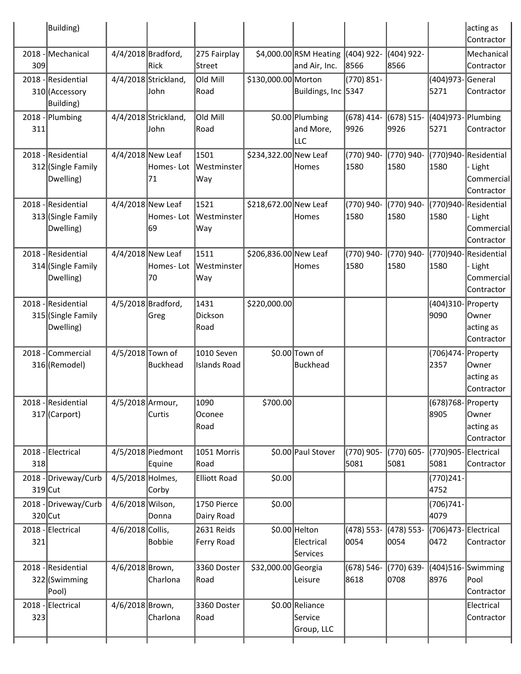|     | Building)                                             |                    |                                        |                                   |                       |                                            |                      |                       |                             | acting as<br>Contractor                                     |
|-----|-------------------------------------------------------|--------------------|----------------------------------------|-----------------------------------|-----------------------|--------------------------------------------|----------------------|-----------------------|-----------------------------|-------------------------------------------------------------|
|     | 2018 - Mechanical                                     | 4/4/2018 Bradford, |                                        | 275 Fairplay                      |                       | \$4,000.00 RSM Heating                     | (404) 922-           | (404) 922-            |                             | Mechanical                                                  |
| 309 |                                                       |                    | Rick                                   | Street                            |                       | and Air, Inc.                              | 8566                 | 8566                  |                             | Contractor                                                  |
|     | 2018 - Residential                                    |                    | 4/4/2018 Strickland,                   | Old Mill                          | \$130,000.00 Morton   |                                            | (770) 851-           |                       | (404)973- General           |                                                             |
|     | 310 (Accessory<br>Building)                           |                    | John                                   | Road                              |                       | Buildings, Inc 5347                        |                      |                       | 5271                        | Contractor                                                  |
| 311 | 2018 - Plumbing                                       |                    | 4/4/2018 Strickland,<br>John           | Old Mill<br>Road                  |                       | \$0.00 Plumbing<br>and More,<br><b>LLC</b> | $(678)$ 414-<br>9926 | $(678) 515 -$<br>9926 | (404)973-Plumbing<br>5271   | Contractor                                                  |
|     | 2018 - Residential<br>312 (Single Family<br>Dwelling) |                    | 4/4/2018 New Leaf<br>Homes-Lot<br>71   | 1501<br> Westminster <br>Way      | \$234,322.00 New Leaf | <b>Homes</b>                               | (770) 940-<br>1580   | (770) 940-<br>1580    | 1580                        | (770)940-Residential<br>- Light<br>Commercial<br>Contractor |
|     | 2018 - Residential<br>313 (Single Family<br>Dwelling) |                    | 4/4/2018 New Leaf<br>Homes- Lot<br> 69 | 1521<br>Westminster<br>Way        | \$218,672.00 New Leaf | Homes                                      | (770) 940-<br>1580   | (770) 940-<br>1580    | 1580                        | (770)940-Residential<br>- Light<br>Commercial<br>Contractor |
|     | 2018 - Residential<br>314 (Single Family<br>Dwelling) |                    | 4/4/2018 New Leaf<br>Homes- Lot<br>70  | 1511<br>Westminster<br>Way        | \$206,836.00 New Leaf | Homes                                      | (770) 940-<br>1580   | (770) 940-<br>1580    | 1580                        | (770)940-Residential<br>- Light<br>Commercial<br>Contractor |
|     | 2018 - Residential<br>315 (Single Family<br>Dwelling) | 4/5/2018 Bradford, | Greg                                   | 1431<br>Dickson<br>Road           | \$220,000.00          |                                            |                      |                       | (404)310- Property<br>9090  | lOwner<br>acting as<br>Contractor                           |
|     | 2018 - Commercial<br>316 (Remodel)                    | 4/5/2018 Town of   | Buckhead                               | 1010 Seven<br><b>Islands Road</b> |                       | \$0.00 Town of<br>Buckhead                 |                      |                       | (706)474- Property<br>2357  | Owner<br>acting as<br>Contractor                            |
|     | 2018 - Residential<br>317 (Carport)                   | 4/5/2018 Armour,   | Curtis                                 | 1090<br>Oconee<br>Road            | \$700.00              |                                            |                      |                       | (678)768-Property<br>8905   | Owner<br>acting as<br>Contractor                            |
| 318 | 2018 - Electrical                                     |                    | 4/5/2018 Piedmont<br>Equine            | 1051 Morris<br>Road               |                       | \$0.00 Paul Stover                         | (770) 905-<br>5081   | (770) 605-<br>5081    | (770)905-Electrical<br>5081 | Contractor                                                  |
|     | 2018 - Driveway/Curb<br>$319$ Cut                     | 4/5/2018 Holmes,   | Corby                                  | Elliott Road                      | \$0.00                |                                            |                      |                       | (770)241-<br>4752           |                                                             |
|     | 2018 - Driveway/Curb                                  | 4/6/2018 Wilson,   |                                        | 1750 Pierce                       | \$0.00                |                                            |                      |                       | $(706)741 -$                |                                                             |
|     | 320 Cut                                               |                    | Donna                                  | Dairy Road                        |                       |                                            |                      |                       | 4079                        |                                                             |
| 321 | 2018 - Electrical                                     | 4/6/2018 Collis,   | Bobbie                                 | 2631 Reids<br>Ferry Road          |                       | \$0.00 Helton<br>Electrical<br>Services    | (478) 553-<br>0054   | (478) 553-<br>0054    | (706)473-Electrical<br>0472 | Contractor                                                  |
|     | 2018 - Residential<br>322 (Swimming<br> Pool)         | 4/6/2018 Brown,    | Charlona                               | 3360 Doster<br>Road               | \$32,000.00 Georgia   | Leisure                                    | (678) 546-<br>8618   | (770) 639-<br>0708    | 8976                        | (404)516-Swimming<br> Pool<br>Contractor                    |
| 323 | 2018 - Electrical                                     | 4/6/2018 Brown,    | Charlona                               | 3360 Doster<br>Road               |                       | \$0.00 Reliance<br>Service<br>Group, LLC   |                      |                       |                             | Electrical<br>Contractor                                    |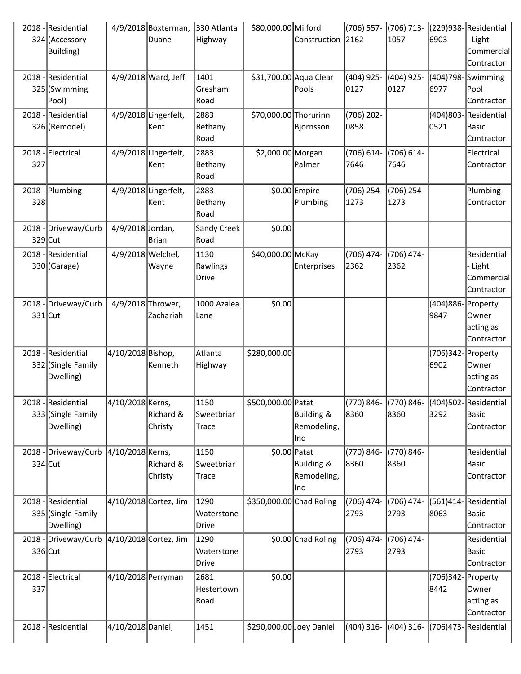|           | 2018 - Residential<br>324 (Accessory<br>Building)     |                    | 4/9/2018 Boxterman,<br>Duane  | 330 Atlanta<br>Highway       | \$80,000.00 Milford      | Construction                            | 2162                  | (706) 557- (706) 713-<br>1057                        | 6903                       | (229)938-Residential<br>Light<br>Commercial<br>Contractor |
|-----------|-------------------------------------------------------|--------------------|-------------------------------|------------------------------|--------------------------|-----------------------------------------|-----------------------|------------------------------------------------------|----------------------------|-----------------------------------------------------------|
|           | 2018 - Residential<br>325 (Swimming<br>Pool)          |                    | 4/9/2018 Ward, Jeff           | 1401<br>Gresham<br>Road      | \$31,700.00 Aqua Clear   | Pools                                   | (404) 925-<br>0127    | (404) 925-<br>0127                                   | 6977                       | (404)798-Swimming<br>lPool<br>Contractor                  |
|           | 2018 - Residential<br>326 (Remodel)                   |                    | 4/9/2018 Lingerfelt,<br> Kent | 2883<br>Bethany<br>Road      | \$70,000.00 Thorurinn    | Bjornsson                               | $(706)$ 202-<br>0858  |                                                      | 0521                       | (404)803-Residential<br> Basic<br>Contractor              |
| 327       | 2018 - Electrical                                     |                    | 4/9/2018 Lingerfelt,<br> Kent | 2883<br>Bethany<br>Road      | \$2,000.00 Morgan        | Palmer                                  | $(706) 614 -$<br>7646 | $(706) 614 -$<br>7646                                |                            | Electrical<br>Contractor                                  |
| 328       | $2018$ - Plumbing                                     |                    | 4/9/2018 Lingerfelt,<br> Kent | 2883<br>Bethany<br>Road      |                          | \$0.00 Empire<br>Plumbing               | (706) 254-<br>1273    | (706) 254-<br>1273                                   |                            | Plumbing<br>Contractor                                    |
| 329 Cut   | 2018 - Driveway/Curb                                  | 4/9/2018 Jordan,   | Brian                         | <b>Sandy Creek</b><br>Road   | \$0.00                   |                                         |                       |                                                      |                            |                                                           |
|           | 2018 - Residential<br>330 (Garage)                    | 4/9/2018 Welchel,  | Wayne                         | 1130<br>Rawlings<br>Drive    | \$40,000.00 McKay        | <b>Enterprises</b>                      | (706) 474-<br>2362    | (706) 474-<br>2362                                   |                            | Residential<br>Light<br>Commercial<br>Contractor          |
| $331$ Cut | 2018 - Driveway/Curb                                  | 4/9/2018 Thrower,  | lZachariah                    | 1000 Azalea<br>Lane          | \$0.00                   |                                         |                       |                                                      | (404)886- Property<br>9847 | lOwner<br>acting as<br>Contractor                         |
|           | 2018 - Residential<br>332 (Single Family<br>Dwelling) | 4/10/2018 Bishop,  | Kenneth                       | Atlanta<br>Highway           | \$280,000.00             |                                         |                       |                                                      | (706)342- Property<br>6902 | Owner<br>acting as<br>Contractor                          |
|           | 2018 - Residential<br>333 (Single Family<br>Dwelling) | 4/10/2018 Kerns,   | Richard &<br>Christy          | 1150<br>Sweetbriar<br> Trace | \$500,000.00 Patat       | Building &<br>Remodeling,<br>Inc        | 8360                  | (770) 846- (770) 846- (404) 502- Residential<br>8360 | 3292                       | Basic<br>Contractor                                       |
| 334 Cut   | 2018 - Driveway/Curb 4/10/2018 Kerns,                 |                    | Richard &<br>Christy          | 1150<br>Sweetbriar<br>Trace  | $$0.00$ Patat            | Building &<br>Remodeling,<br><b>Inc</b> | (770) 846-<br>8360    | (770) 846-<br>8360                                   |                            | Residential<br>Basic<br>Contractor                        |
|           | 2018 - Residential<br>335 (Single Family<br>Dwelling) |                    | 4/10/2018 Cortez, Jim         | 1290<br>Waterstone<br>Drive  | \$350,000.00 Chad Roling |                                         | (706) 474-<br>2793    | (706) 474-<br>2793                                   | 8063                       | (561)414-Residential<br> Basic<br>Contractor              |
| 336 Cut   | 2018 - Driveway/Curb                                  |                    | 4/10/2018 Cortez, Jim         | 1290<br>Waterstone<br>Drive  |                          | \$0.00 Chad Roling                      | (706) 474-<br>2793    | (706) 474-<br>2793                                   |                            | Residential<br>Basic<br>Contractor                        |
| 337       | 2018 - Electrical                                     | 4/10/2018 Perryman |                               | 2681<br>Hestertown<br>Road   | \$0.00                   |                                         |                       |                                                      | (706)342- Property<br>8442 | Owner <br>acting as<br>Contractor                         |
|           | 2018 - Residential                                    | 4/10/2018 Daniel,  |                               | 1451                         | \$290,000.00 Joey Daniel |                                         | (404) 316-            | $(404)$ 316-                                         |                            | (706)473-Residential                                      |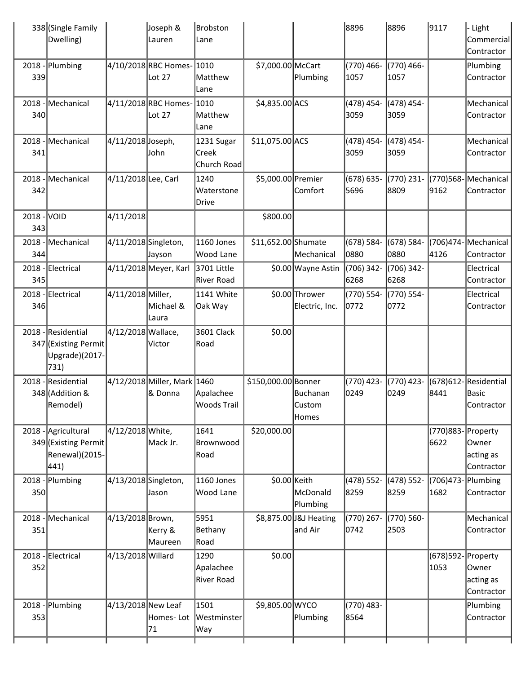|                    | 338 (Single Family<br>Dwelling)                                       |                      | Joseph &<br>Lauren                     | <b>Brobston</b><br>Lane            |                     |                                   | 8896               | 8896               | 9117                       | - Light<br>Commercial<br>Contractor         |
|--------------------|-----------------------------------------------------------------------|----------------------|----------------------------------------|------------------------------------|---------------------|-----------------------------------|--------------------|--------------------|----------------------------|---------------------------------------------|
| 339                | 2018 - Plumbing                                                       |                      | 4/10/2018 RBC Homes-<br>Lot 27         | 1010<br>Matthew<br>Lane            | \$7,000.00 McCart   | Plumbing                          | (770) 466-<br>1057 | (770) 466-<br>1057 |                            | Plumbing<br>Contractor                      |
| 340                | 2018 - Mechanical                                                     |                      | 4/11/2018 RBC Homes- 1010<br>Lot 27    | Matthew<br>Lane                    | \$4,835.00 ACS      |                                   | (478) 454-<br>3059 | (478) 454-<br>3059 |                            | Mechanical<br>Contractor                    |
| 341                | 2018 - Mechanical                                                     | 4/11/2018 Joseph,    | John                                   | 1231 Sugar<br>Creek<br>Church Road | \$11,075.00 ACS     |                                   | (478) 454-<br>3059 | (478) 454-<br>3059 |                            | Mechanical<br>Contractor                    |
| 342                | 2018 - Mechanical                                                     | 4/11/2018 Lee, Carl  |                                        | 1240<br>Waterstone<br>Drive        | \$5,000.00 Premier  | Comfort                           | (678) 635-<br>5696 | (770) 231-<br>8809 | 9162                       | (770)568-Mechanical<br>Contractor           |
| 2018 - VOID<br>343 |                                                                       | 4/11/2018            |                                        |                                    | \$800.00            |                                   |                    |                    |                            |                                             |
| 344                | 2018 - Mechanical                                                     | 4/11/2018 Singleton, | Jayson                                 | 1160 Jones<br>Wood Lane            | \$11,652.00 Shumate | Mechanical                        | (678) 584-<br>0880 | (678) 584-<br>0880 | 4126                       | $(706)474$ -Mechanical<br>Contractor        |
| 345                | 2018 - Electrical                                                     |                      | 4/11/2018 Meyer, Karl                  | 3701 Little<br>River Road          |                     | \$0.00 Wayne Astin                | (706) 342-<br>6268 | (706) 342-<br>6268 |                            | Electrical<br>Contractor                    |
| 346                | 2018 - Electrical                                                     | 4/11/2018 Miller,    | Michael &<br>Laura                     | 1141 White<br>Oak Way              |                     | \$0.00 Thrower<br>Electric, Inc.  | (770) 554-<br>0772 | (770) 554-<br>0772 |                            | Electrical<br>Contractor                    |
|                    | 2018 - Residential<br>347 (Existing Permit<br>Upgrade)(2017-<br>731)  | 4/12/2018 Wallace,   | Victor                                 | 3601 Clack<br> Road                | \$0.00              |                                   |                    |                    |                            |                                             |
|                    | 2018 - Residential<br>348 (Addition &<br>Remodel)                     |                      | 4/12/2018 Miller, Mark 1460<br>& Donna | Apalachee<br>Woods Trail           | \$150,000.00 Bonner | Buchanan<br> Custom<br>Homes      | (770) 423-<br>0249 | (770) 423-<br>0249 | 8441                       | (678)612-Residential<br>Basic<br>Contractor |
|                    | 2018 - Agricultural<br>349 (Existing Permit<br>Renewal)(2015-<br>441) | 4/12/2018 White,     | Mack Jr.                               | 1641<br>Brownwood<br>Road          | \$20,000.00         |                                   |                    |                    | (770)883- Property<br>6622 | Owner<br>acting as<br>Contractor            |
| 2018<br>350        | -Plumbing                                                             | 4/13/2018 Singleton, | Jason                                  | 1160 Jones<br>Wood Lane            | \$0.00 Keith        | McDonald<br>Plumbing              | (478) 552-<br>8259 | (478) 552-<br>8259 | (706)473-Plumbing<br>1682  | Contractor                                  |
| 2018<br>351        | - Mechanical                                                          | 4/13/2018 Brown,     | Kerry &<br>Maureen                     | 5951<br>Bethany<br>Road            |                     | \$8,875.00 J&J Heating<br>and Air | (770) 267-<br>0742 | (770) 560-<br>2503 |                            | Mechanical<br>Contractor                    |
| 352                | 2018 - Electrical                                                     | 4/13/2018 Willard    |                                        | 1290<br>Apalachee<br>River Road    | \$0.00              |                                   |                    |                    | (678)592- Property<br>1053 | Owner<br>acting as<br>Contractor            |
| 353                | $2018$ - Plumbing                                                     | 4/13/2018 New Leaf   | Homes- Lot<br>71                       | 1501<br>Westminster<br>Way         | \$9,805.00 WYCO     | Plumbing                          | (770) 483-<br>8564 |                    |                            | Plumbing<br>Contractor                      |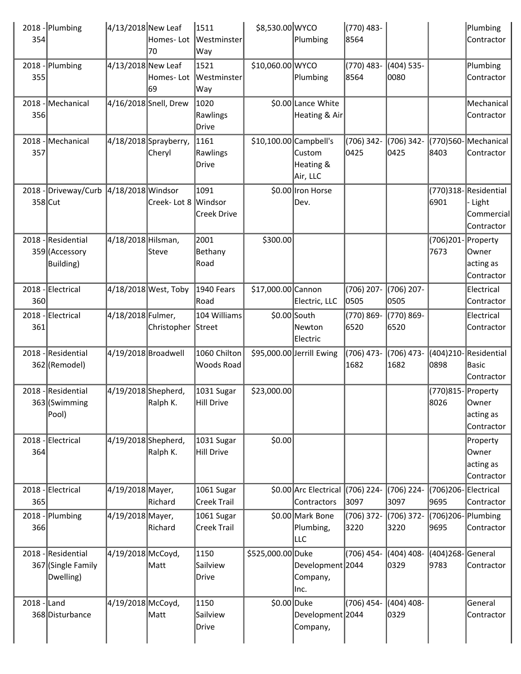| 354             | 2018 - Plumbing                                | 4/13/2018 New Leaf  | Homes-Lot<br>70                 | 1511<br>Westminster<br>Way            | \$8,530.00 WYCO        | Plumbing                               | (770) 483-<br>8564   |                      |                             | Plumbing<br>Contractor                                    |
|-----------------|------------------------------------------------|---------------------|---------------------------------|---------------------------------------|------------------------|----------------------------------------|----------------------|----------------------|-----------------------------|-----------------------------------------------------------|
| 2018<br>355     | Plumbing                                       | 4/13/2018 New Leaf  | Homes- Lot<br>169               | 1521<br>Westminster<br>Way            | \$10,060.00 WYCO       | Plumbing                               | (770) 483-<br>8564   | (404) 535-<br>0080   |                             | Plumbing<br>Contractor                                    |
| 356             | 2018 - Mechanical                              |                     | 4/16/2018 Snell, Drew           | 1020<br>Rawlings<br><b>Drive</b>      |                        | \$0.00 Lance White<br>Heating & Air    |                      |                      |                             | Mechanical  <br>Contractor                                |
| 2018<br>357     | - Mechanical                                   |                     | 4/18/2018 Sprayberry,<br>Cheryl | 1161<br>Rawlings<br>Drive             | \$10,100.00 Campbell's | <b>Custom</b><br>Heating &<br>Air, LLC | (706) 342-<br>0425   | (706) 342-<br>0425   | 8403                        | (770)560-Mechanical<br>Contractor                         |
| 2018<br>358 Cut | -Driveway/Curb                                 | 4/18/2018 Windsor   | Creek-Lot 8                     | 1091<br>Windsor<br><b>Creek Drive</b> |                        | \$0.00 Iron Horse<br>Dev.              |                      |                      | 6901                        | (770)318-Residential<br>Light<br>Commercial<br>Contractor |
| 2018            | Residential<br>359 (Accessory<br>Building)     | 4/18/2018 Hilsman,  | Steve                           | 2001<br>Bethany<br>Road               | \$300.00               |                                        |                      |                      | (706)201- Property<br>7673  | Owner <br>acting as<br>Contractor                         |
| $2018 -$<br>360 | Electrical                                     |                     | 4/18/2018 West, Toby            | 1940 Fears<br>Road                    | \$17,000.00 Cannon     | Electric, LLC                          | (706) 207-<br>0505   | (706) 207-<br>0505   |                             | Electrical<br>Contractor                                  |
| 361             | 2018 - Electrical                              | 4/18/2018 Fulmer,   | Christopher                     | 104 Williams<br>Street                |                        | \$0.00 South<br>Newton<br>Electric     | (770) 869-<br>6520   | (770) 869-<br>6520   |                             | Electrical<br>Contractor                                  |
|                 | 2018 - Residential<br>362 (Remodel)            | 4/19/2018 Broadwell |                                 | 1060 Chilton<br><b>Woods Road</b>     |                        | \$95,000.00 Jerrill Ewing              | (706) 473-<br>1682   | (706) 473-<br>1682   | 0898                        | (404)210-Residential<br>Basic<br>Contractor               |
|                 | 2018 - Residential<br>363 (Swimming<br>Pool)   | 4/19/2018 Shepherd, | Ralph K.                        | 1031 Sugar<br>Hill Drive              | \$23,000.00            |                                        |                      |                      | (770)815- Property<br>8026  | lOwner<br>acting as<br>Contractor                         |
| 2018<br>364     | Electrical                                     | 4/19/2018 Shepherd, | Ralph K.                        | 1031 Sugar<br>Hill Drive              | \$0.00                 |                                        |                      |                      |                             | Property<br>Owner<br>acting as<br>Contractor              |
| 2018<br>365     | Electrical                                     | 4/19/2018 Mayer,    | Richard                         | 1061 Sugar<br><b>Creek Trail</b>      |                        | \$0.00 Arc Electrical<br>Contractors   | $(706)$ 224-<br>3097 | (706) 224-<br>3097   | (706)206-Electrical<br>9695 | Contractor                                                |
| 366             | 2018 - Plumbing                                | 4/19/2018 Mayer,    | Richard                         | 1061 Sugar<br><b>Creek Trail</b>      |                        | \$0.00 Mark Bone<br>Plumbing,<br>LLC   | (706) 372-<br>3220   | (706) 372-<br>3220   | (706)206-Plumbing<br>9695   | Contractor                                                |
| 2018            | Residential<br>367 (Single Family<br>Dwelling) | 4/19/2018 McCoyd,   | Matt                            | 1150<br>Sailview<br>Drive             | \$525,000.00 Duke      | Development 2044<br>Company,<br>llnc.  | (706) 454-           | (404) 408-<br>0329   | (404) 268 - General<br>9783 | Contractor                                                |
| $2018$ - Land   | 368 Disturbance                                | 4/19/2018 McCoyd,   | Matt                            | 1150<br>Sailview<br>Drive             | \$0.00 Duke            | Development 2044<br>Company,           | (706) 454-           | $(404)$ 408-<br>0329 |                             | General<br>Contractor                                     |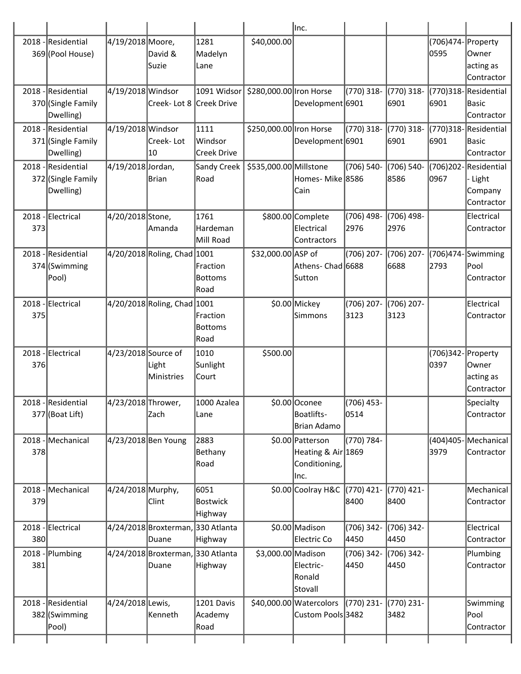|             |                                                       |                     |                                            |                                           |                         | lnc.                                                            |                      |                      |                            |                                                        |
|-------------|-------------------------------------------------------|---------------------|--------------------------------------------|-------------------------------------------|-------------------------|-----------------------------------------------------------------|----------------------|----------------------|----------------------------|--------------------------------------------------------|
|             | 2018 - Residential<br>369 (Pool House)                | 4/19/2018 Moore,    | David &<br>Suzie                           | 1281<br>Madelyn<br>Lane                   | \$40,000.00             |                                                                 |                      |                      | (706)474- Property<br>0595 | Owner<br>acting as<br>Contractor                       |
|             | 2018 - Residential<br>370 (Single Family<br>Dwelling) | 4/19/2018 Windsor   | Creek- Lot 8 Creek Drive                   | 1091 Widsor                               | \$280,000.00 Iron Horse | Development 6901                                                | (770) 318-           | $(770)$ 318-<br>6901 | 6901                       | (770)318-Residential<br>Basic<br>Contractor            |
| 2018        | -Residential<br>371 (Single Family<br>Dwelling)       | 4/19/2018 Windsor   | Creek-Lot<br>10                            | 1111<br>Windsor<br><b>Creek Drive</b>     | \$250,000.00 Iron Horse | Development 6901                                                | $(770)$ 318-         | (770) 318-<br>6901   | 6901                       | (770)318-Residential<br>lBasic<br>Contractor           |
| 2018        | -Residential<br>372 (Single Family<br>Dwelling)       | 4/19/2018 Jordan,   | <b>Brian</b>                               | Sandy Creek<br>Road                       | \$535,000.00 Millstone  | Homes-Mike 8586<br>Cain                                         | (706) 540-           | (706) 540-<br>8586   | 0967                       | (706)202-Residential<br>Light<br>Company<br>Contractor |
| 373         | 2018 - Electrical                                     | 4/20/2018 Stone,    | Amanda                                     | 1761<br>Hardeman<br>Mill Road             |                         | \$800.00 Complete<br>Electrical<br>Contractors                  | (706) 498-<br>2976   | (706) 498-<br>2976   |                            | Electrical<br>Contractor                               |
| 2018        | -Residential<br>374 (Swimming<br>Pool)                |                     | 4/20/2018 Roling, Chad 1001                | Fraction<br><b>Bottoms</b><br> Road       | \$32,000.00 ASP of      | Athens- Chad 6688<br>Sutton                                     | (706) 207-           | $(706)$ 207-<br>6688 | (706)474<br>2793           | Swimming<br>Pool<br>Contractor                         |
| 375         | 2018 - Electrical                                     |                     | 4/20/2018 Roling, Chad 1001                | Fraction<br><b>Bottoms</b><br>Road        |                         | \$0.00 Mickey<br>Simmons                                        | (706) 207-<br>3123   | (706) 207-<br>3123   |                            | Electrical<br>Contractor                               |
| 2018<br>376 | -Electrical                                           | 4/23/2018 Source of | Light<br>Ministries                        | 1010<br>Sunlight<br> Court                | \$500.00                |                                                                 |                      |                      | (706)342<br>0397           | Property<br> Owner<br>acting as<br>Contractor          |
|             | 2018 - Residential<br>377 (Boat Lift)                 | 4/23/2018 Thrower,  | Zach                                       | 1000 Azalea<br> Lane                      |                         | \$0.00 Oconee<br>Boatlifts-<br>Brian Adamo                      | (706) 453-<br>0514   |                      |                            | Specialty<br>Contractor                                |
| 378         | 2018 - Mechanical                                     | 4/23/2018 Ben Young |                                            | 2883<br>Bethany<br>Road                   |                         | \$0.00 Patterson<br>Heating & Air 1869<br>Conditioning,<br>Inc. | (770) 784-           |                      | 3979                       | (404)405- Mechanical<br>Contractor                     |
| 379         | 2018 - Mechanical                                     | 4/24/2018 Murphy,   | Clint                                      | 6051<br><b>Bostwick</b><br><b>Highway</b> |                         | \$0.00 Coolray H&C                                              | $(770)$ 421-<br>8400 | $(770)$ 421-<br>8400 |                            | Mechanical<br>Contractor                               |
| 380         | 2018 - Electrical                                     |                     | 4/24/2018 Broxterman, 330 Atlanta<br>Duane | Highway                                   |                         | \$0.00 Madison<br>Electric Co                                   | (706) 342-<br>4450   | (706) 342-<br>4450   |                            | Electrical<br>Contractor                               |
| 381         | 2018 - Plumbing                                       |                     | 4/24/2018 Broxterman, 330 Atlanta<br>Duane | Highway                                   | \$3,000.00 Madison      | Electric-<br>Ronald<br>Stovall                                  | (706) 342-<br>4450   | (706) 342-<br>4450   |                            | Plumbing<br>Contractor                                 |
| 2018        | -Residential<br>382 (Swimming<br>Pool)                | 4/24/2018 Lewis,    | Kenneth                                    | 1201 Davis<br>Academy<br>Road             |                         | \$40,000.00 Watercolors<br>Custom Pools 3482                    | (770) 231-           | (770) 231-<br>3482   |                            | Swimming<br>Pool<br>Contractor                         |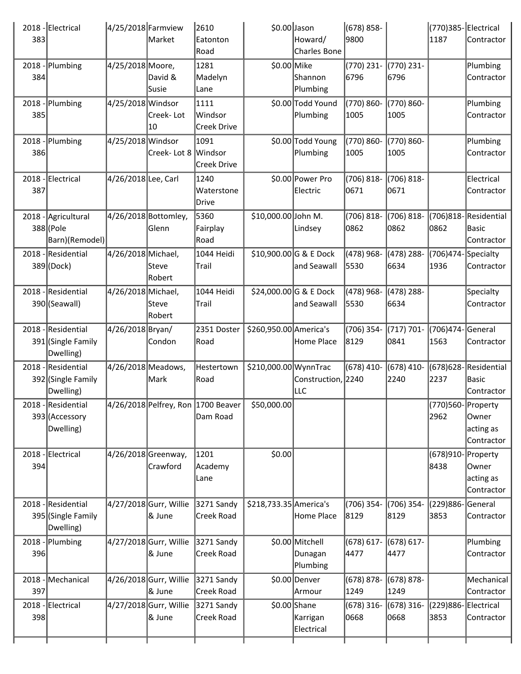| 383 | 2018 - Electrical                                     | 4/25/2018 Farmview | Market                            | 2610<br>Eatonton<br>Road                       | $$0.00$ Jason          | Howard/<br>Charles Bone                 | (678) 858-<br>9800    |                       | 1187                          | (770)385-Electrical<br>Contractor              |
|-----|-------------------------------------------------------|--------------------|-----------------------------------|------------------------------------------------|------------------------|-----------------------------------------|-----------------------|-----------------------|-------------------------------|------------------------------------------------|
| 384 | $2018$ - Plumbing                                     | 4/25/2018 Moore,   | David &<br>Susie                  | 1281<br>Madelyn<br>Lane                        | \$0.00 Mike            | Shannon<br>Plumbing                     | (770) 231-<br>6796    | (770) 231-<br>6796    |                               | Plumbing<br>Contractor                         |
| 385 | $2018$ - Plumbing                                     | 4/25/2018 Windsor  | Creek- Lot<br>10                  | 1111<br>Windsor<br>Creek Drive                 |                        | \$0.00 Todd Yound<br>Plumbing           | (770) 860-<br>1005    | (770) 860-<br>1005    |                               | Plumbing<br>Contractor                         |
| 386 | $2018$ - Plumbing                                     | 4/25/2018 Windsor  | Creek- Lot 8 Windsor              | 1091<br>Creek Drive                            |                        | \$0.00 Todd Young<br>Plumbing           | (770) 860-<br>1005    | (770) 860-<br>1005    |                               | Plumbing<br>Contractor                         |
| 387 | 2018 - Electrical                                     | 4/26/2018Lee, Carl |                                   | 1240<br>Waterstone<br>Drive                    |                        | \$0.00 Power Pro<br>Electric            | $(706) 818 -$<br>0671 | $(706) 818 -$<br>0671 |                               | Electrical<br>Contractor                       |
|     | 2018 - Agricultural<br>388 (Pole<br>Barn)(Remodel)    |                    | 4/26/2018 Bottomley,<br>Glenn     | 5360<br>Fairplay<br>Road                       | \$10,000.00 John M.    | Lindsey                                 | (706) 818-<br>0862    | $(706) 818 -$<br>0862 | 0862                          | (706)818-Residential<br>Basic<br>Contractor    |
|     | 2018 - Residential<br>389 (Dock)                      | 4/26/2018 Michael, | lSteve<br>Robert                  | 1044 Heidi<br>Trail                            |                        | \$10,900.00 G & E Dock<br>and Seawall   | (478) 968-<br>5530    | (478) 288-<br>6634    | $(706)474$ -Specialty<br>1936 | Contractor                                     |
|     | 2018 - Residential<br>390 (Seawall)                   | 4/26/2018 Michael, | Steve<br>Robert                   | 1044 Heidi<br> Trail                           |                        | $$24,000.00$ G & E Dock<br>and Seawall  | (478) 968-<br>5530    | (478) 288-<br>6634    |                               | Specialty<br>Contractor                        |
|     | 2018 - Residential<br>391 (Single Family<br>Dwelling) | 4/26/2018 Bryan/   | Condon                            | 2351 Doster<br>Road                            | \$260,950.00 America's | Home Place                              | (706) 354-<br>8129    | $(717) 701 -$<br>0841 | (706)474-General<br>1563      | Contractor                                     |
|     | 2018 - Residential<br>392 (Single Family<br>Dwelling) | 4/26/2018 Meadows, | Mark                              | Hestertown<br>Road                             | \$210,000.00 WynnTrac  | Construction, 2240<br>LLC               | $(678)$ 410-          | $(678)$ 410-<br>2240  | 2237                          | (678) 628 - Residential<br>Basic<br>Contractor |
|     | 2018 - Residential<br>393 (Accessory<br>Dwelling)     |                    |                                   | 4/26/2018 Pelfrey, Ron 1700 Beaver<br>Dam Road | \$50,000.00            |                                         |                       |                       | (770)560-Property<br>2962     | Owner <br>acting as<br>Contractor              |
| 394 | 2018 - Electrical                                     |                    | 4/26/2018 Greenway,<br>Crawford   | 1201<br>Academy<br>Lane                        | \$0.00                 |                                         |                       |                       | (678)910- Property<br>8438    | Owner<br>acting as<br>Contractor               |
|     | 2018 - Residential<br>395 (Single Family<br>Dwelling) |                    | 4/27/2018 Gurr, Willie<br>& June  | 3271 Sandy<br>Creek Road                       | \$218,733.35 America's | Home Place                              | (706) 354-<br>8129    | (706) 354-<br>8129    | (229)886-General<br>3853      | Contractor                                     |
| 396 | $2018$ - Plumbing                                     |                    | 4/27/2018 Gurr, Willie<br>8& June | 3271 Sandy<br>Creek Road                       |                        | \$0.00 Mitchell<br>Dunagan<br>Plumbing  | (678) 617-<br>4477    | $(678) 617 -$<br>4477 |                               | Plumbing<br>Contractor                         |
| 397 | 2018 - Mechanical                                     |                    | 4/26/2018 Gurr, Willie<br>8& June | 3271 Sandy<br>Creek Road                       |                        | \$0.00 Denver<br>Armour                 | (678) 878-<br>1249    | $(678) 878 -$<br>1249 |                               | Mechanical<br>Contractor                       |
| 398 | 2018 - Electrical                                     |                    | 4/27/2018 Gurr, Willie<br>& June  | 3271 Sandy<br>Creek Road                       |                        | $$0.00$ Shane<br>Karrigan<br>Electrical | (678) 316-<br>0668    | (678) 316-<br>0668    | (229)886-Electrical<br>3853   | Contractor                                     |